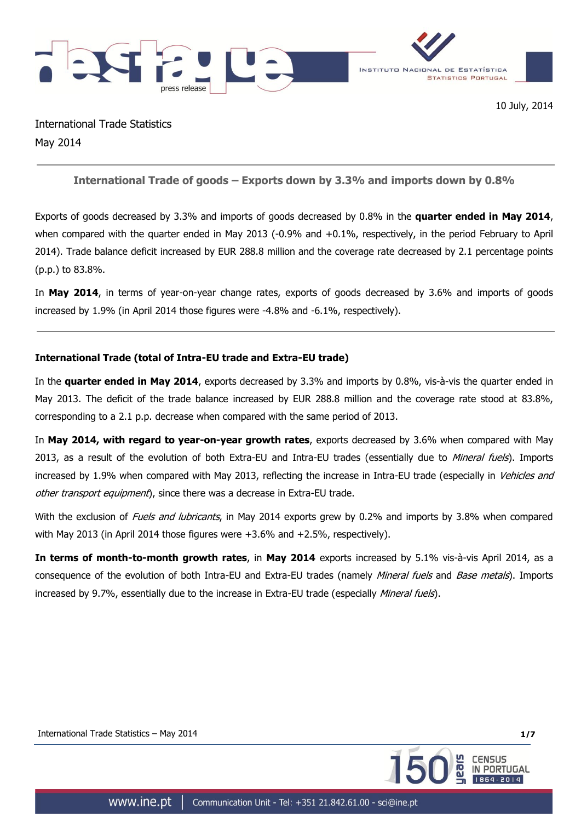



International Trade Statistics May 2014

# **International Trade of goods – Exports down by 3.3% and imports down by 0.8%**

Exports of goods decreased by 3.3% and imports of goods decreased by 0.8% in the **quarter ended in May 2014**, when compared with the quarter ended in May 2013 (-0.9% and +0.1%, respectively, in the period February to April 2014). Trade balance deficit increased by EUR 288.8 million and the coverage rate decreased by 2.1 percentage points (p.p.) to 83.8%.

In **May 2014**, in terms of year-on-year change rates, exports of goods decreased by 3.6% and imports of goods increased by 1.9% (in April 2014 those figures were -4.8% and -6.1%, respectively).

## **International Trade (total of Intra-EU trade and Extra-EU trade)**

In the **quarter ended in May 2014**, exports decreased by 3.3% and imports by 0.8%, vis-à-vis the quarter ended in May 2013. The deficit of the trade balance increased by EUR 288.8 million and the coverage rate stood at 83.8%, corresponding to a 2.1 p.p. decrease when compared with the same period of 2013.

In **May 2014, with regard to year-on-year growth rates**, exports decreased by 3.6% when compared with May 2013, as a result of the evolution of both Extra-EU and Intra-EU trades (essentially due to *Mineral fuels*). Imports increased by 1.9% when compared with May 2013, reflecting the increase in Intra-EU trade (especially in Vehicles and other transport equipment), since there was a decrease in Extra-EU trade.

With the exclusion of Fuels and lubricants, in May 2014 exports grew by 0.2% and imports by 3.8% when compared with May 2013 (in April 2014 those figures were +3.6% and +2.5%, respectively).

**In terms of month-to-month growth rates**, in **May 2014** exports increased by 5.1% vis-à-vis April 2014, as a consequence of the evolution of both Intra-EU and Extra-EU trades (namely *Mineral fuels* and *Base metals*). Imports increased by 9.7%, essentially due to the increase in Extra-EU trade (especially *Mineral fuels*).

International Trade Statistics – May 2014 **1/7**

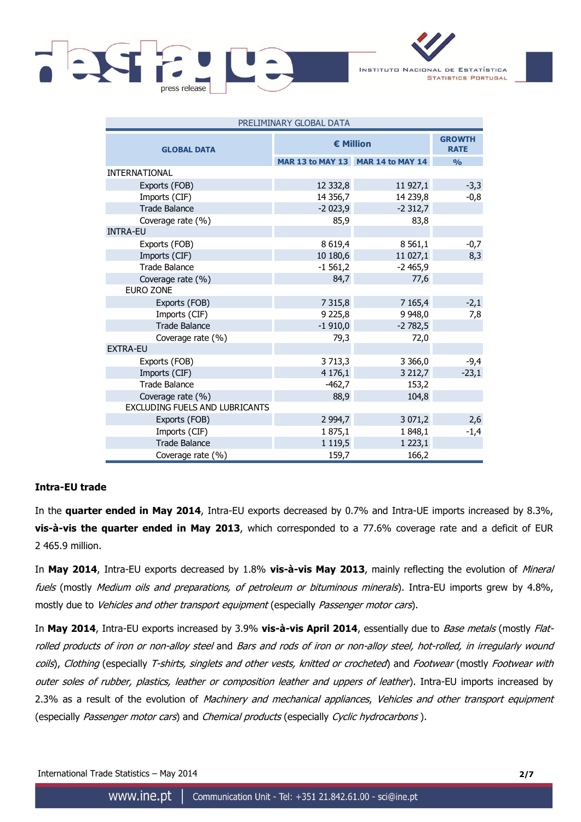



| PRELIMINARY GLOBAL DATA        |                  |                                   |               |  |  |  |  |
|--------------------------------|------------------|-----------------------------------|---------------|--|--|--|--|
| <b>GLOBAL DATA</b>             | <b>€ Million</b> | <b>GROWTH</b><br><b>RATE</b>      |               |  |  |  |  |
|                                |                  | MAR 13 to MAY 13 MAR 14 to MAY 14 | $\frac{0}{0}$ |  |  |  |  |
| <b>INTERNATIONAL</b>           |                  |                                   |               |  |  |  |  |
| Exports (FOB)                  | 12 332,8         | 11 927,1                          | $-3,3$        |  |  |  |  |
| Imports (CIF)                  | 14 3 56,7        | 14 239,8                          | $-0,8$        |  |  |  |  |
| <b>Trade Balance</b>           | $-2023,9$        | $-2312,7$                         |               |  |  |  |  |
| Coverage rate (%)              | 85,9             | 83,8                              |               |  |  |  |  |
| <b>INTRA-EU</b>                |                  |                                   |               |  |  |  |  |
| Exports (FOB)                  | 8 6 19,4         | 8 5 6 1, 1                        | $-0,7$        |  |  |  |  |
| Imports (CIF)                  | 10 180,6         | 11 027,1                          | 8,3           |  |  |  |  |
| <b>Trade Balance</b>           | $-1561,2$        | $-2465,9$                         |               |  |  |  |  |
| Coverage rate (%)              | 84,7             | 77,6                              |               |  |  |  |  |
| <b>EURO ZONE</b>               |                  |                                   |               |  |  |  |  |
| Exports (FOB)                  | 7 3 1 5,8        | 7 1 65,4                          | $-2,1$        |  |  |  |  |
| Imports (CIF)                  | 9 2 2 5, 8       | 9 9 48,0                          | 7,8           |  |  |  |  |
| <b>Trade Balance</b>           | $-1910,0$        | $-2782,5$                         |               |  |  |  |  |
| Coverage rate (%)              | 79,3             | 72,0                              |               |  |  |  |  |
| <b>EXTRA-EU</b>                |                  |                                   |               |  |  |  |  |
| Exports (FOB)                  | 3713,3           | 3 3 6 6 , 0                       | $-9,4$        |  |  |  |  |
| Imports (CIF)                  | 4 176,1          | 3 2 1 2,7                         | $-23,1$       |  |  |  |  |
| <b>Trade Balance</b>           | $-462,7$         | 153,2                             |               |  |  |  |  |
| Coverage rate (%)              | 88,9             | 104,8                             |               |  |  |  |  |
| EXCLUDING FUELS AND LUBRICANTS |                  |                                   |               |  |  |  |  |
| Exports (FOB)                  | 2 9 9 4, 7       | 3 071,2                           | 2,6           |  |  |  |  |
| Imports (CIF)                  | 1875,1           | 1848,1                            | $-1,4$        |  |  |  |  |
| <b>Trade Balance</b>           | 1 1 1 9, 5       | 1223,1                            |               |  |  |  |  |
| Coverage rate (%)              | 159,7            | 166,2                             |               |  |  |  |  |

### **Intra-EU trade**

In the **quarter ended in May 2014**, Intra-EU exports decreased by 0.7% and Intra-UE imports increased by 8.3%, **vis-à-vis the quarter ended in May 2013**, which corresponded to a 77.6% coverage rate and a deficit of EUR 2 465.9 million.

In **May 2014**, Intra-EU exports decreased by 1.8% **vis-à-vis May 2013**, mainly reflecting the evolution of Mineral fuels (mostly Medium oils and preparations, of petroleum or bituminous minerals). Intra-EU imports grew by 4.8%, mostly due to Vehicles and other transport equipment (especially Passenger motor cars).

In **May 2014**, Intra-EU exports increased by 3.9% **vis-à-vis April 2014**, essentially due to Base metals (mostly Flatrolled products of iron or non-alloy steel and Bars and rods of iron or non-alloy steel, hot-rolled, in irregularly wound coils), Clothing (especially T-shirts, singlets and other vests, knitted or crocheted) and Footwear (mostly Footwear with outer soles of rubber, plastics, leather or composition leather and uppers of leather). Intra-EU imports increased by 2.3% as a result of the evolution of Machinery and mechanical appliances, Vehicles and other transport equipment (especially Passenger motor cars) and Chemical products (especially Cyclic hydrocarbons).

International Trade Statistics – May 2014 **2/7**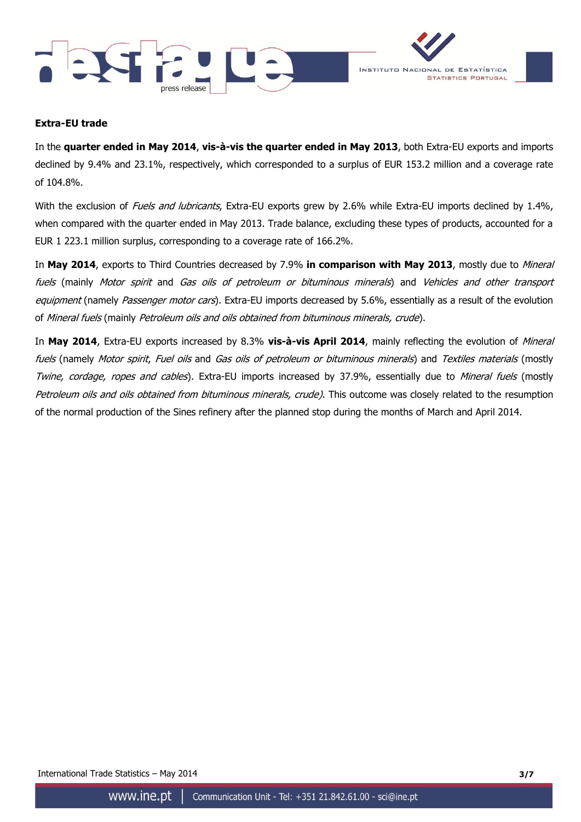



### **Extra-EU trade**

In the **quarter ended in May 2014**, **vis-à-vis the quarter ended in May 2013**, both Extra-EU exports and imports declined by 9.4% and 23.1%, respectively, which corresponded to a surplus of EUR 153.2 million and a coverage rate of 104.8%.

With the exclusion of Fuels and lubricants, Extra-EU exports grew by 2.6% while Extra-EU imports declined by 1.4%, when compared with the quarter ended in May 2013. Trade balance, excluding these types of products, accounted for a EUR 1 223.1 million surplus, corresponding to a coverage rate of 166.2%.

In **May 2014**, exports to Third Countries decreased by 7.9% **in comparison with May 2013**, mostly due to Mineral fuels (mainly Motor spirit and Gas oils of petroleum or bituminous minerals) and Vehicles and other transport equipment (namely Passenger motor cars). Extra-EU imports decreased by 5.6%, essentially as a result of the evolution of Mineral fuels (mainly Petroleum oils and oils obtained from bituminous minerals, crude).

In **May 2014**, Extra-EU exports increased by 8.3% **vis-à-vis April 2014**, mainly reflecting the evolution of Mineral fuels (namely *Motor spirit, Fuel oils* and *Gas oils of petroleum or bituminous minerals*) and Textiles materials (mostly Twine, cordage, ropes and cables). Extra-EU imports increased by 37.9%, essentially due to Mineral fuels (mostly Petroleum oils and oils obtained from bituminous minerals, crude). This outcome was closely related to the resumption of the normal production of the Sines refinery after the planned stop during the months of March and April 2014.

International Trade Statistics – May 2014 **3/7**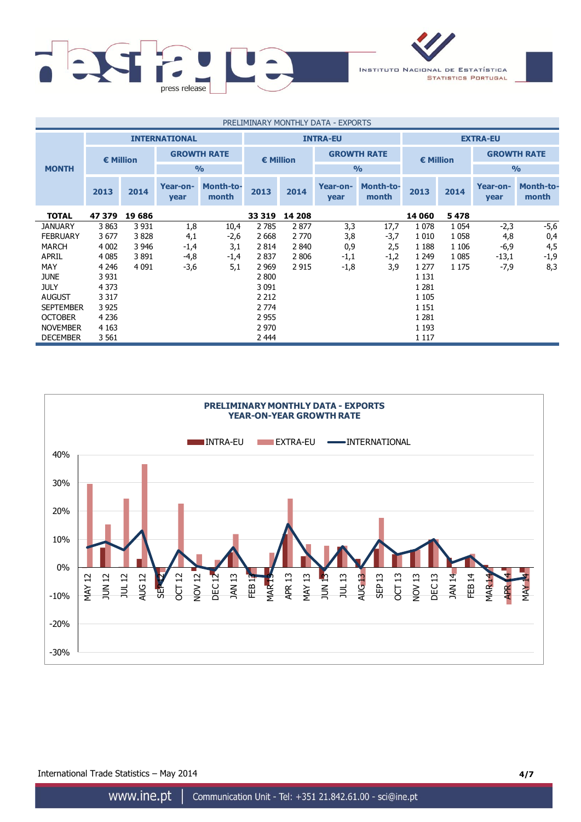



| PRELIMINARY MONTHLY DATA - EXPORTS |           |         |                      |                    |                    |         |                  |                           |         |         |                    |                           |  |                    |
|------------------------------------|-----------|---------|----------------------|--------------------|--------------------|---------|------------------|---------------------------|---------|---------|--------------------|---------------------------|--|--------------------|
|                                    |           |         | <b>INTERNATIONAL</b> |                    | <b>INTRA-EU</b>    |         |                  | <b>EXTRA-EU</b>           |         |         |                    |                           |  |                    |
|                                    | € Million |         |                      | <b>GROWTH RATE</b> | $\epsilon$ Million |         |                  | <b>GROWTH RATE</b>        |         |         | $\epsilon$ Million |                           |  | <b>GROWTH RATE</b> |
| <b>MONTH</b>                       |           |         |                      | $\frac{9}{6}$      |                    |         |                  | $\frac{0}{0}$             |         |         | $\frac{9}{6}$      |                           |  |                    |
|                                    | 2013      | 2014    | Year-on-<br>year     | Month-to-<br>month | 2013               | 2014    | Year-on-<br>year | <b>Month-to-</b><br>month | 2013    | 2014    | Year-on-<br>year   | <b>Month-to-</b><br>month |  |                    |
| <b>TOTAL</b>                       | 47 379    | 19 686  |                      |                    | 33 319             | 14 208  |                  |                           | 14 060  | 5478    |                    |                           |  |                    |
| <b>JANUARY</b>                     | 3863      | 3 9 3 1 | 1,8                  | 10,4               | 2 7 8 5            | 2877    | 3,3              | 17,7                      | 1078    | 1 0 5 4 | $-2,3$             | $-5,6$                    |  |                    |
| <b>FEBRUARY</b>                    | 3677      | 3828    | 4,1                  | -2,6               | 2 6 6 8            | 2 7 7 0 | 3,8              | -3,7                      | 1 0 1 0 | 1058    | 4,8                | 0,4                       |  |                    |
| <b>MARCH</b>                       | 4 0 0 2   | 3 946   | -1,4                 | 3,1                | 2814               | 2840    | 0,9              | 2,5                       | 1 1 8 8 | 1 1 0 6 | $-6,9$             | 4,5                       |  |                    |
| <b>APRIL</b>                       | 4 0 8 5   | 3891    | $-4,8$               | $-1,4$             | 2837               | 2 8 0 6 | $-1,1$           | $-1,2$                    | 1 2 4 9 | 1 0 8 5 | $-13,1$            | $-1,9$                    |  |                    |
| <b>MAY</b>                         | 4 2 4 6   | 4 0 9 1 | $-3,6$               | 5,1                | 2 9 6 9            | 2915    | $-1,8$           | 3,9                       | 1 277   | 1 1 7 5 | $-7,9$             | 8,3                       |  |                    |
| <b>JUNE</b>                        | 3 9 3 1   |         |                      |                    | 2 800              |         |                  |                           | 1 1 3 1 |         |                    |                           |  |                    |
| <b>JULY</b>                        | 4 3 7 3   |         |                      |                    | 3 0 9 1            |         |                  |                           | 1 2 8 1 |         |                    |                           |  |                    |
| <b>AUGUST</b>                      | 3 3 1 7   |         |                      |                    | 2 2 1 2            |         |                  |                           | 1 1 0 5 |         |                    |                           |  |                    |
| <b>SEPTEMBER</b>                   | 3 9 2 5   |         |                      |                    | 2 7 7 4            |         |                  |                           | 1 1 5 1 |         |                    |                           |  |                    |
| <b>OCTOBER</b>                     | 4 2 3 6   |         |                      |                    | 2 9 5 5            |         |                  |                           | 1 2 8 1 |         |                    |                           |  |                    |
| <b>NOVEMBER</b>                    | 4 1 6 3   |         |                      |                    | 2 9 7 0            |         |                  |                           | 1 1 9 3 |         |                    |                           |  |                    |
| <b>DECEMBER</b>                    | 3 561     |         |                      |                    | 2 4 4 4            |         |                  |                           | 1 1 1 7 |         |                    |                           |  |                    |



International Trade Statistics – May 2014 **4/7**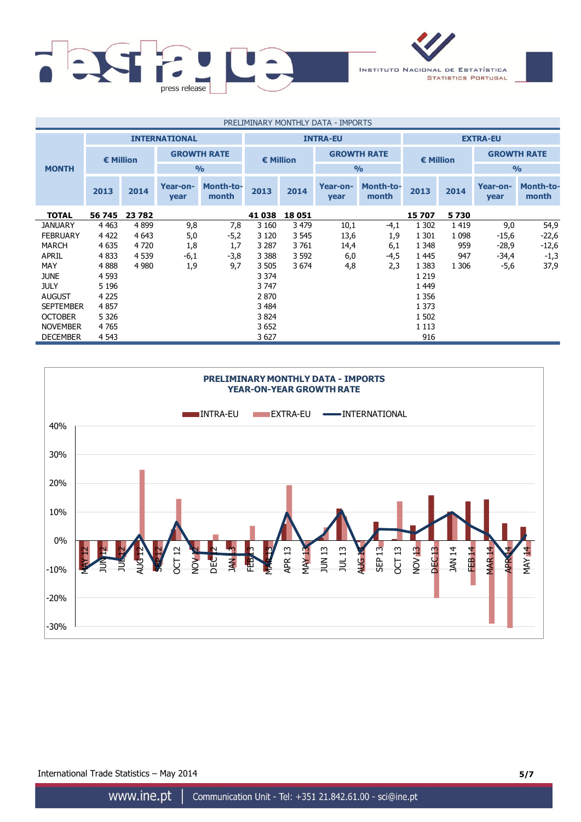



| PRELIMINARY MONTHLY DATA - IMPORTS |                    |         |                      |                           |                                          |         |                  |                           |         |         |                    |                    |
|------------------------------------|--------------------|---------|----------------------|---------------------------|------------------------------------------|---------|------------------|---------------------------|---------|---------|--------------------|--------------------|
|                                    |                    |         | <b>INTERNATIONAL</b> |                           | <b>INTRA-EU</b>                          |         |                  | <b>EXTRA-EU</b>           |         |         |                    |                    |
|                                    | $\epsilon$ Million |         | <b>GROWTH RATE</b>   |                           | <b>GROWTH RATE</b><br>$\epsilon$ Million |         |                  | $\epsilon$ Million        |         |         | <b>GROWTH RATE</b> |                    |
| <b>MONTH</b>                       |                    |         |                      | $\frac{0}{0}$             |                                          |         |                  | $\frac{0}{0}$             |         |         | $\frac{0}{0}$      |                    |
|                                    | 2013               | 2014    | Year-on-<br>year     | <b>Month-to-</b><br>month | 2013                                     | 2014    | Year-on-<br>year | <b>Month-to-</b><br>month | 2013    | 2014    | Year-on-<br>year   | Month-to-<br>month |
| <b>TOTAL</b>                       | 56 745             | 23 782  |                      |                           | 41 038                                   | 18 051  |                  |                           | 15707   | 5730    |                    |                    |
| <b>JANUARY</b>                     | 4 4 6 3            | 4899    | 9,8                  | 7,8                       | 3 1 6 0                                  | 3 4 7 9 | 10,1             | -4,1                      | 1 3 0 2 | 1419    | 9,0                | 54,9               |
| <b>FEBRUARY</b>                    | 4 4 2 2            | 4 6 4 3 | 5,0                  | $-5,2$                    | 3 1 2 0                                  | 3 5 4 5 | 13,6             | 1,9                       | 1 3 0 1 | 1 0 9 8 | $-15,6$            | $-22,6$            |
| <b>MARCH</b>                       | 4 6 3 5            | 4 7 2 0 | 1,8                  | 1,7                       | 3 2 8 7                                  | 3761    | 14,4             | 6,1                       | 1 3 4 8 | 959     | $-28,9$            | $-12,6$            |
| <b>APRIL</b>                       | 4833               | 4 5 3 9 | $-6,1$               | $-3,8$                    | 3 3 8 8                                  | 3 5 9 2 | 6,0              | -4,5                      | 1 4 4 5 | 947     | -34,4              | $-1,3$             |
| <b>MAY</b>                         | 4888               | 4 9 8 0 | 1,9                  | 9,7                       | 3 5 0 5                                  | 3674    | 4,8              | 2,3                       | 1 3 8 3 | 1 3 0 6 | $-5,6$             | 37,9               |
| <b>JUNE</b>                        | 4 5 9 3            |         |                      |                           | 3 3 7 4                                  |         |                  |                           | 1 2 1 9 |         |                    |                    |
| <b>JULY</b>                        | 5 1 9 6            |         |                      |                           | 3 747                                    |         |                  |                           | 1 4 4 9 |         |                    |                    |
| <b>AUGUST</b>                      | 4 2 2 5            |         |                      |                           | 2 8 7 0                                  |         |                  |                           | 1 3 5 6 |         |                    |                    |
| <b>SEPTEMBER</b>                   | 4857               |         |                      |                           | 3 4 8 4                                  |         |                  |                           | 1 3 7 3 |         |                    |                    |
| <b>OCTOBER</b>                     | 5 3 2 6            |         |                      |                           | 3824                                     |         |                  |                           | 1 502   |         |                    |                    |
| <b>NOVEMBER</b>                    | 4765               |         |                      |                           | 3 652                                    |         |                  |                           | 1 1 1 3 |         |                    |                    |
| <b>DECEMBER</b>                    | 4 5 4 3            |         |                      |                           | 3627                                     |         |                  |                           | 916     |         |                    |                    |



International Trade Statistics – May 2014 **5/7**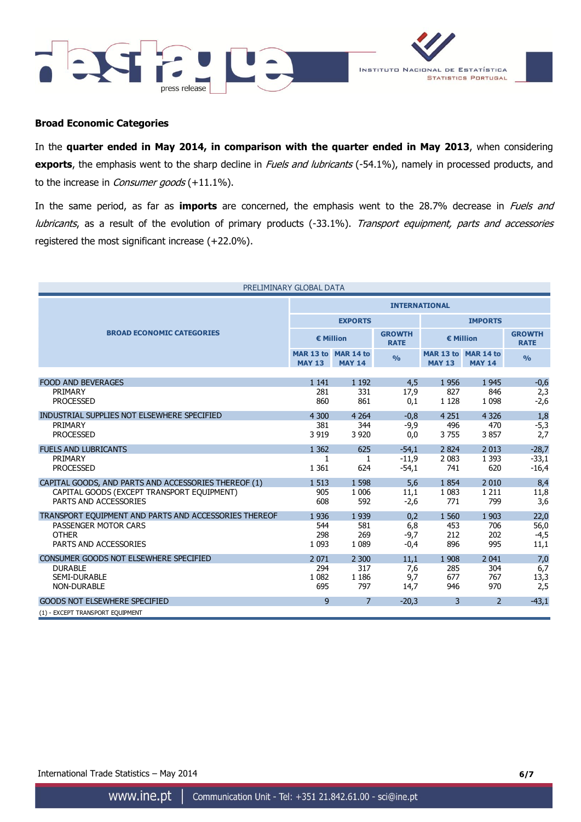



#### **Broad Economic Categories**

In the **quarter ended in May 2014, in comparison with the quarter ended in May 2013**, when considering exports, the emphasis went to the sharp decline in Fuels and lubricants (-54.1%), namely in processed products, and to the increase in *Consumer goods* (+11.1%).

In the same period, as far as **imports** are concerned, the emphasis went to the 28.7% decrease in Fuels and lubricants, as a result of the evolution of primary products (-33.1%). Transport equipment, parts and accessories registered the most significant increase (+22.0%).

| PRELIMINARY GLOBAL DATA                               |                      |                                      |                              |                |                                      |               |  |  |
|-------------------------------------------------------|----------------------|--------------------------------------|------------------------------|----------------|--------------------------------------|---------------|--|--|
|                                                       | <b>INTERNATIONAL</b> |                                      |                              |                |                                      |               |  |  |
|                                                       |                      | <b>EXPORTS</b>                       |                              | <b>IMPORTS</b> |                                      |               |  |  |
| <b>BROAD ECONOMIC CATEGORIES</b>                      |                      | € Million                            | <b>GROWTH</b><br><b>RATE</b> |                | € Million                            |               |  |  |
|                                                       | <b>MAY 13</b>        | MAR 13 to MAR 14 to<br><b>MAY 14</b> | $\frac{9}{0}$                | <b>MAY 13</b>  | MAR 13 to MAR 14 to<br><b>MAY 14</b> | $\frac{9}{6}$ |  |  |
| <b>FOOD AND BEVERAGES</b>                             | 1 1 4 1              | 1 1 9 2                              | 4,5                          | 1956           | 1945                                 |               |  |  |
| PRIMARY                                               | 281                  | 331                                  | 17,9                         | 827            | 846                                  | $-0,6$<br>2,3 |  |  |
| <b>PROCESSED</b>                                      | 860                  | 861                                  | 0,1                          | 1 1 2 8        | 1 0 9 8                              | $-2,6$        |  |  |
| INDUSTRIAL SUPPLIES NOT ELSEWHERE SPECIFIED           | 4 300                | 4 2 6 4                              | $-0.8$                       | 4 2 5 1        | 4 3 2 6                              | 1,8           |  |  |
| PRIMARY                                               | 381                  | 344                                  | $-9,9$                       | 496            | 470                                  | $-5,3$        |  |  |
| <b>PROCESSED</b>                                      | 3 9 1 9              | 3 9 20                               | 0,0                          | 3755           | 3857                                 | 2,7           |  |  |
| <b>FUELS AND LUBRICANTS</b>                           | 1 3 6 2              | 625                                  | $-54,1$                      | 2 8 2 4        | 2 0 1 3                              | $-28,7$       |  |  |
| <b>PRIMARY</b>                                        | 1                    | 1                                    | $-11.9$                      | 2 0 8 3        | 1 3 9 3                              | $-33,1$       |  |  |
| <b>PROCESSED</b>                                      | 1 3 6 1              | 624                                  | $-54,1$                      | 741            | 620                                  | $-16,4$       |  |  |
| CAPITAL GOODS, AND PARTS AND ACCESSORIES THEREOF (1)  | 1 5 1 3              | 1 5 9 8                              | 5.6                          | 1854           | 2 0 1 0                              | 8,4           |  |  |
| CAPITAL GOODS (EXCEPT TRANSPORT EQUIPMENT)            | 905                  | 1 0 0 6                              | 11,1                         | 1 0 8 3        | 1 2 1 1                              | 11,8          |  |  |
| PARTS AND ACCESSORIES                                 | 608                  | 592                                  | $-2,6$                       | 771            | 799                                  | 3,6           |  |  |
| TRANSPORT EQUIPMENT AND PARTS AND ACCESSORIES THEREOF | 1936                 | 1 9 3 9                              | 0.2                          | 1 560          | 1 903                                | 22,0          |  |  |
| PASSENGER MOTOR CARS                                  | 544                  | 581                                  | 6,8                          | 453            | 706                                  | 56,0          |  |  |
| <b>OTHER</b>                                          | 298                  | 269                                  | $-9,7$                       | 212            | 202                                  | $-4,5$        |  |  |
| PARTS AND ACCESSORIES                                 | 1 0 9 3              | 1 0 8 9                              | $-0,4$                       | 896            | 995                                  | 11,1          |  |  |
| CONSUMER GOODS NOT ELSEWHERE SPECIFIED                | 2 0 7 1              | 2 300                                | 11.1                         | 1 9 0 8        | 2 0 4 1                              | 7,0           |  |  |
| <b>DURABLE</b>                                        | 294                  | 317                                  | 7,6                          | 285            | 304                                  | 6,7           |  |  |
| SEMI-DURABLE                                          | 1 0 8 2              | 1 1 8 6                              | 9,7                          | 677            | 767                                  | 13,3          |  |  |
| <b>NON-DURABLE</b>                                    | 695                  | 797                                  | 14,7                         | 946            | 970                                  | 2,5           |  |  |
| <b>GOODS NOT ELSEWHERE SPECIFIED</b>                  | 9                    | 7                                    | $-20,3$                      | 3              | 2                                    | $-43,1$       |  |  |
| (1) - EXCEPT TRANSPORT EQUIPMENT                      |                      |                                      |                              |                |                                      |               |  |  |